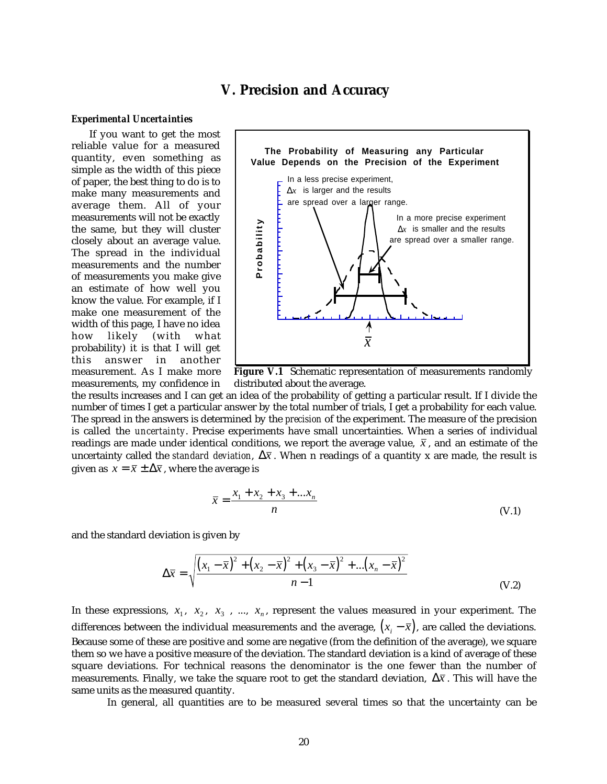## **V. Precision and Accuracy**

#### *Experimental Uncertainties*

If you want to get the most reliable value for a measured quantity, even something as simple as the width of this piece of paper, the best thing to do is to make many measurements and average them. All of your measurements will not be exactly the same, but they will cluster closely about an average value. The spread in the individual measurements and the number of measurements you make give an estimate of how well you know the value. For example, if I make one measurement of the width of this page, I have no idea how likely (with what probability) it is that I will get this answer in measurement. As I make more measurements, my confidence in



**Figure V.1** Schematic representation of measurements randomly distributed about the average.

the results increases and I can get an idea of the probability of getting a particular result. If I divide the number of times I get a particular answer by the total number of trials, I get a probability for each value. The spread in the answers is determined by the *precision* of the experiment. The measure of the precision is called the *uncertainty*. Precise experiments have small uncertainties. When a series of individual readings are made under identical conditions, we report the average value,  $\bar{x}$ , and an estimate of the uncertainty called the *standard deviation*,  $\Delta \bar{x}$ . When n readings of a quantity x are made, the result is given as  $x = \overline{x} \pm \Delta \overline{x}$ , where the average is

$$
\bar{x} = \frac{x_1 + x_2 + x_3 + \dots + x_n}{n}
$$
 (V.1)

and the standard deviation is given by

$$
\Delta \overline{x} = \sqrt{\frac{(x_1 - \overline{x})^2 + (x_2 - \overline{x})^2 + (x_3 - \overline{x})^2 + ... (x_n - \overline{x})^2}{n - 1}}
$$
(V.2)

In these expressions,  $x_1$ ,  $x_2$ ,  $x_3$ , ...,  $x_n$ , represent the values measured in your experiment. The differences between the individual measurements and the average,  $(x_i - \overline{x})$ , are called the deviations. Because some of these are positive and some are negative (from the definition of the average), we square them so we have a positive measure of the deviation. The standard deviation is a kind of average of these square deviations. For technical reasons the denominator is the one fewer than the number of measurements. Finally, we take the square root to get the standard deviation,  $\Delta \bar{x}$ . This will have the same units as the measured quantity.

In general, all quantities are to be measured several times so that the uncertainty can be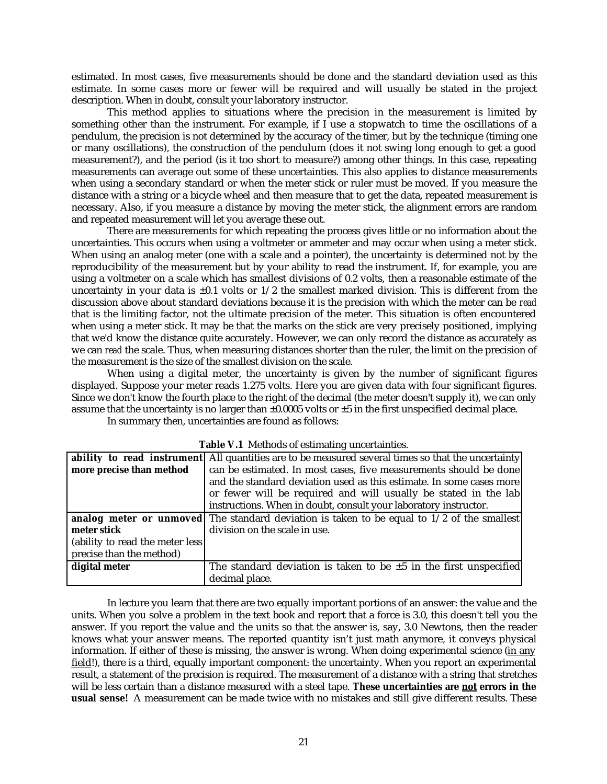estimated. In most cases, five measurements should be done and the standard deviation used as this estimate. In some cases more or fewer will be required and will usually be stated in the project description. When in doubt, consult your laboratory instructor.

This method applies to situations where the precision in the measurement is limited by something other than the instrument. For example, if I use a stopwatch to time the oscillations of a pendulum, the precision is not determined by the accuracy of the timer, but by the technique (timing one or many oscillations), the construction of the pendulum (does it not swing long enough to get a good measurement?), and the period (is it too short to measure?) among other things. In this case, repeating measurements can average out some of these uncertainties. This also applies to distance measurements when using a secondary standard or when the meter stick or ruler must be moved. If you measure the distance with a string or a bicycle wheel and then measure that to get the data, repeated measurement is necessary. Also, if you measure a distance by moving the meter stick, the alignment errors are random and repeated measurement will let you average these out.

There are measurements for which repeating the process gives little or no information about the uncertainties. This occurs when using a voltmeter or ammeter and may occur when using a meter stick. When using an analog meter (one with a scale and a pointer), the uncertainty is determined not by the reproducibility of the measurement but by your ability to read the instrument. If, for example, you are using a voltmeter on a scale which has smallest divisions of 0.2 volts, then a reasonable estimate of the uncertainty in your data is  $\pm 0.1$  volts or  $1/2$  the smallest marked division. This is different from the discussion above about standard deviations because it is the precision with which the meter can be *read* that is the limiting factor, not the ultimate precision of the meter. This situation is often encountered when using a meter stick. It may be that the marks on the stick are very precisely positioned, implying that we'd know the distance quite accurately. However, we can only record the distance as accurately as we can *read* the scale. Thus, when measuring distances shorter than the ruler, the limit on the precision of the measurement is the size of the smallest division on the scale.

When using a digital meter, the uncertainty is given by the number of significant figures displayed. Suppose your meter reads 1.275 volts. Here you are given data with four significant figures. Since we don't know the fourth place to the right of the decimal (the meter doesn't supply it), we can only assume that the uncertainty is no larger than  $\pm 0.0005$  volts or  $\pm 5$  in the first unspecified decimal place.

In summary then, uncertainties are found as follows:

| <b>Tuble</b> via <i>included</i> of community uncertainties. |                                                                                                           |  |  |
|--------------------------------------------------------------|-----------------------------------------------------------------------------------------------------------|--|--|
|                                                              | <b>ability to read instrument</b> All quantities are to be measured several times so that the uncertainty |  |  |
| more precise than method                                     | can be estimated. In most cases, five measurements should be done                                         |  |  |
|                                                              | and the standard deviation used as this estimate. In some cases more                                      |  |  |
|                                                              | or fewer will be required and will usually be stated in the lab                                           |  |  |
|                                                              | instructions. When in doubt, consult your laboratory instructor.                                          |  |  |
|                                                              | analog meter or unmoved The standard deviation is taken to be equal to $1/2$ of the smallest              |  |  |
| meter stick                                                  | division on the scale in use.                                                                             |  |  |
| (ability to read the meter less                              |                                                                                                           |  |  |
| precise than the method)                                     |                                                                                                           |  |  |
| digital meter                                                | The standard deviation is taken to be $\pm 5$ in the first unspecified                                    |  |  |
|                                                              | decimal place.                                                                                            |  |  |

In lecture you learn that there are two equally important portions of an answer: the value and the units. When you solve a problem in the text book and report that a force is 3.0, this doesn't tell you the answer. If you report the value and the units so that the answer is, say, 3.0 Newtons, then the reader knows what your answer means. The reported quantity isn't just math anymore, it conveys physical information. If either of these is missing, the answer is wrong. When doing experimental science (in any field!), there is a third, equally important component: the uncertainty. When you report an experimental result, a statement of the precision is required. The measurement of a distance with a string that stretches will be less certain than a distance measured with a steel tape. **These uncertainties are not errors in the usual sense!** A measurement can be made twice with no mistakes and still give different results. These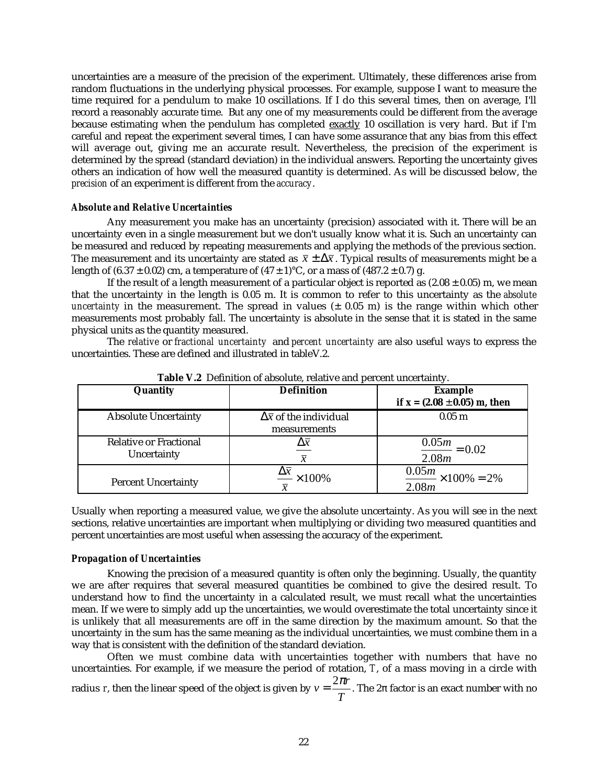uncertainties are a measure of the precision of the experiment. Ultimately, these differences arise from random fluctuations in the underlying physical processes. For example, suppose I want to measure the time required for a pendulum to make 10 oscillations. If I do this several times, then on average, I'll record a reasonably accurate time. But any one of my measurements could be different from the average because estimating when the pendulum has completed exactly 10 oscillation is very hard. But if I'm careful and repeat the experiment several times, I can have some assurance that any bias from this effect will average out, giving me an accurate result. Nevertheless, the precision of the experiment is determined by the spread (standard deviation) in the individual answers. Reporting the uncertainty gives others an indication of how well the measured quantity is determined. As will be discussed below, the *precision* of an experiment is different from the *accuracy*.

#### *Absolute and Relative Uncertainties*

Any measurement you make has an uncertainty (precision) associated with it. There will be an uncertainty even in a single measurement but we don't usually know what it is. Such an uncertainty can be measured and reduced by repeating measurements and applying the methods of the previous section. The measurement and its uncertainty are stated as  $\bar{x} \pm \Delta \bar{x}$ . Typical results of measurements might be a length of  $(6.37 \pm 0.02)$  cm, a temperature of  $(47 \pm 1)$ °C, or a mass of  $(487.2 \pm 0.7)$  g.

If the result of a length measurement of a particular object is reported as  $(2.08 \pm 0.05)$  m, we mean that the uncertainty in the length is 0.05 m. It is common to refer to this uncertainty as the *absolute uncertainty* in the measurement. The spread in values (± 0.05 m) is the range within which other measurements most probably fall. The uncertainty is absolute in the sense that it is stated in the same physical units as the quantity measured.

The *relative* or *fractional uncertainty* and *percent uncertainty* are also useful ways to express the uncertainties. These are defined and illustrated in tableV.2.

| Quantity                                     | <b>Definition</b>                                  | <b>Example</b><br>if $x = (2.08 \pm 0.05)$ m, then |
|----------------------------------------------|----------------------------------------------------|----------------------------------------------------|
| <b>Absolute Uncertainty</b>                  | $\Delta \bar{x}$ of the individual<br>measurements | 0.05 <sub>m</sub>                                  |
| <b>Relative or Fractional</b><br>Uncertainty | $\Delta \overline{x}$                              | $\frac{0.05m}{0.02} = 0.02$<br>2.08m               |
| <b>Percent Uncertainty</b>                   | $\frac{\Delta \bar{x}}{\Delta \times 100\%}$       | $\frac{0.05m}{\sim} \times 100\% = 2\%$<br>2.08m   |

**Table V.2** Definition of absolute, relative and percent uncertainty.

Usually when reporting a measured value, we give the absolute uncertainty. As you will see in the next sections, relative uncertainties are important when multiplying or dividing two measured quantities and percent uncertainties are most useful when assessing the accuracy of the experiment.

#### *Propagation of Uncertainties*

Knowing the precision of a measured quantity is often only the beginning. Usually, the quantity we are after requires that several measured quantities be combined to give the desired result. To understand how to find the uncertainty in a calculated result, we must recall what the uncertainties mean. If we were to simply add up the uncertainties, we would overestimate the total uncertainty since it is unlikely that all measurements are off in the same direction by the maximum amount. So that the uncertainty in the sum has the same meaning as the individual uncertainties, we must combine them in a way that is consistent with the definition of the standard deviation.

Often we must combine data with uncertainties together with numbers that have no uncertainties. For example, if we measure the period of rotation, *T*, of a mass moving in a circle with radius *r*, then the linear speed of the object is given by  $ν = \frac{2πr}{T}$ . The  $2π$  factor is an exact number with no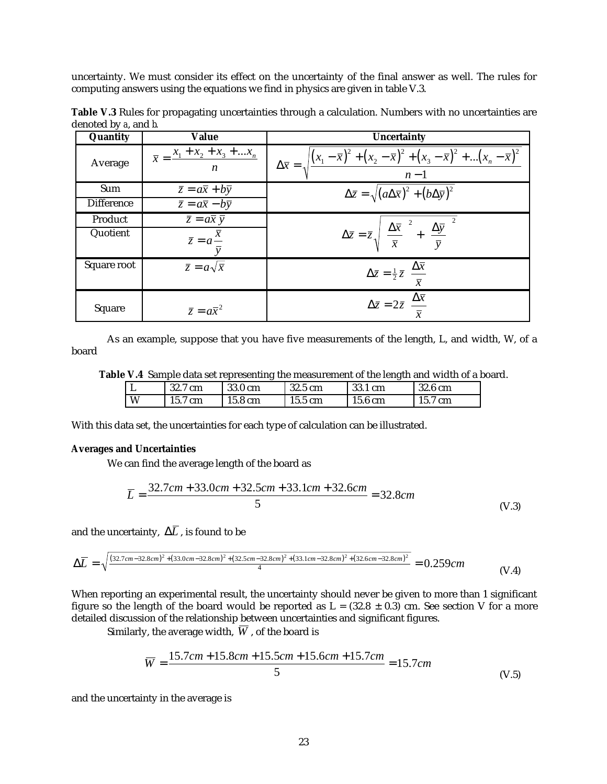uncertainty. We must consider its effect on the uncertainty of the final answer as well. The rules for computing answers using the equations we find in physics are given in table V.3.

| Quantity          | <b>Value</b>                                                                                  | <b>Uncertainty</b>                                                                                                              |
|-------------------|-----------------------------------------------------------------------------------------------|---------------------------------------------------------------------------------------------------------------------------------|
| Average           | $\bar{x} = \frac{x_1 + x_2 + x_3 + \dots + x_n}{x_1 + x_2 + \dots + x_n}$<br>$\boldsymbol{n}$ | $\Delta \bar{x} = \sqrt{\frac{(x_1 - \bar{x})^2 + (x_2 - \bar{x})^2 + (x_3 - \bar{x})^2 +  (x_n - \bar{x})^2}{n - 1}}$          |
| Sum               | $\overline{z} = a\overline{x} + b\overline{y}$                                                | $\Delta \bar{z} = \sqrt{(a\Delta \bar{x})^2 + (b\Delta \bar{y})^2}$                                                             |
| <b>Difference</b> | $\overline{z} = a\overline{x} - b\overline{y}$                                                |                                                                                                                                 |
| Product           | $\overline{z} = a\overline{x} \ \overline{y}$                                                 |                                                                                                                                 |
| Quotient          | $\overline{z} = a^{\overline{x}}$                                                             | $\Delta \bar{z} = \bar{z} \sqrt{\left(\frac{\Delta \bar{x}}{\bar{x}}\right)^2 + \left(\frac{\Delta \bar{y}}{\bar{y}}\right)^2}$ |
| Square root       | $\overline{z} = a\sqrt{x}$                                                                    | $\Delta \bar{z} = \frac{1}{2} \bar{z} \left( \frac{\Delta \bar{x}}{\bar{x}} \right)$                                            |
| Square            | $\overline{z} = a\overline{x}^2$                                                              | $\Delta \bar{z} = 2 \bar{z} \left( \frac{\Delta \bar{x}}{\bar{x}} \right)$                                                      |

**Table V.3** Rules for propagating uncertainties through a calculation. Numbers with no uncertainties are denoted by *a*, and *b*.

As an example, suppose that you have five measurements of the length, L, and width, W, of a board

**Table V.4** Sample data set representing the measurement of the length and width of a board.

| <u>н.</u> | 32.7 cm | 33.0 cm | 32.5 cm | 33.1 cm           | 32.6 cm               |
|-----------|---------|---------|---------|-------------------|-----------------------|
| W         | 15.7 cm | 15.8 cm | 15.5 cm | $15.6 \text{ cm}$ | 15.7<br>$\mathbf{cm}$ |

With this data set, the uncertainties for each type of calculation can be illustrated.

### **Averages and Uncertainties**

We can find the average length of the board as

$$
\overline{L} = \frac{32.7cm + 33.0cm + 32.5cm + 33.1cm + 32.6cm}{5} = 32.8cm
$$
 (V.3)

and the uncertainty,  $\Delta \overline{L}$ , is found to be

$$
\Delta \overline{L} = \sqrt{\frac{(32.7cm - 32.8cm)^2 + (33.0cm - 32.8cm)^2 + (32.5cm - 32.8cm)^2 + (33.1cm - 32.8cm)^2 + (32.6cm - 32.8cm)^2}{4}} = 0.259cm
$$
 (V.4)

When reporting an experimental result, the uncertainty should never be given to more than 1 significant figure so the length of the board would be reported as  $L = (32.8 \pm 0.3)$  cm. See section V for a more detailed discussion of the relationship between uncertainties and significant figures.

Similarly, the average width,  $\overline{W}$ , of the board is

$$
\overline{W} = \frac{15.7cm + 15.8cm + 15.5cm + 15.6cm + 15.7cm}{5} = 15.7cm
$$
\n(V.5)

and the uncertainty in the average is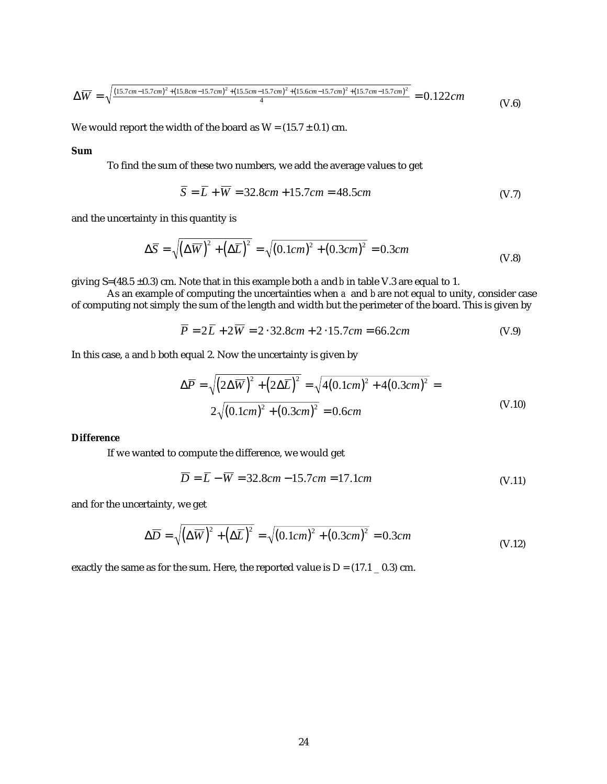$$
\Delta \overline{W} = \sqrt{\frac{\left(15.7cm - 15.7cm\right)^2 + \left(15.8cm - 15.7cm\right)^2 + \left(15.5cm - 15.7cm\right)^2 + \left(15.6cm - 15.7cm\right)^2 + \left(15.7cm - 15.7cm\right)^2}{4}} = 0.122cm
$$
\n(V.6)

We would report the width of the board as  $W = (15.7 \pm 0.1)$  cm.

#### **Sum**

To find the sum of these two numbers, we add the average values to get

$$
\overline{S} = \overline{L} + \overline{W} = 32.8cm + 15.7cm = 48.5cm
$$
 (V.7)

and the uncertainty in this quantity is

$$
\Delta \overline{S} = \sqrt{\left(\Delta \overline{W}\right)^2 + \left(\Delta \overline{L}\right)^2} = \sqrt{\left(0.1cm\right)^2 + \left(0.3cm\right)^2} = 0.3cm
$$
 (V.8)

giving S=(48.5 ±0.3) cm. Note that in this example both *a* and *b* in table V.3 are equal to 1.

As an example of computing the uncertainties when *a* and *b* are not equal to unity, consider case of computing not simply the sum of the length and width but the perimeter of the board. This is given by

$$
\overline{P} = 2\overline{L} + 2\overline{W} = 2 \cdot 32.8cm + 2 \cdot 15.7cm = 66.2cm
$$
 (V.9)

In this case, *a* and *b* both equal 2. Now the uncertainty is given by

$$
\Delta \overline{P} = \sqrt{\left(2\Delta \overline{W}\right)^{2} + \left(2\Delta \overline{L}\right)^{2}} = \sqrt{4(0.1cm)^{2} + 4(0.3cm)^{2}} = 2\sqrt{(0.1cm)^{2} + (0.3cm)^{2}} = 0.6cm
$$
\n(V.10)

## **Difference**

If we wanted to compute the difference, we would get

$$
\overline{D} = \overline{L} - \overline{W} = 32.8cm - 15.7cm = 17.1cm
$$
 (V.11)

and for the uncertainty, we get

$$
\Delta \overline{D} = \sqrt{\left(\Delta \overline{W}\right)^2 + \left(\Delta \overline{L}\right)^2} = \sqrt{\left(0.1cm\right)^2 + \left(0.3cm\right)^2} = 0.3cm
$$
\n(V.12)

exactly the same as for the sum. Here, the reported value is  $D = (17.1 \pm 0.3)$  cm.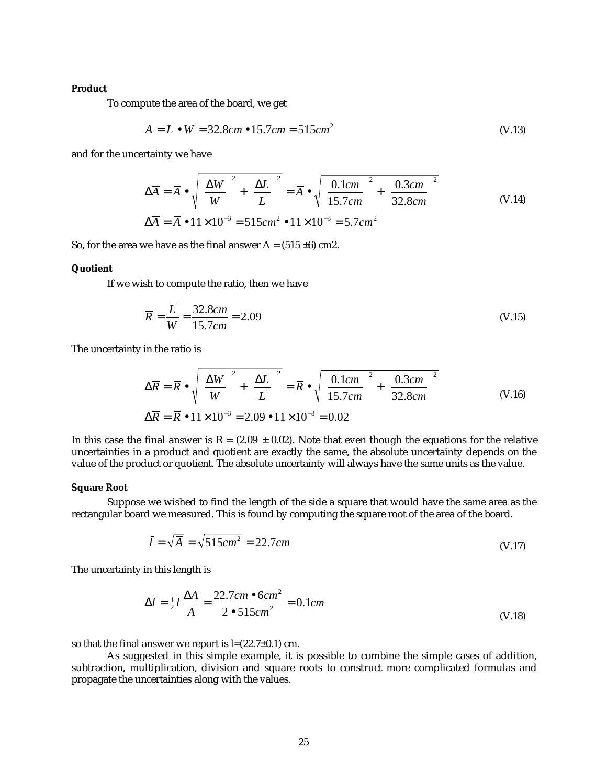#### **Product**

To compute the area of the board, we get

$$
\overline{A} = \overline{L} \bullet \overline{W} = 32.8cm \bullet 15.7cm = 515cm^2
$$
 (V.13)

and for the uncertainty we have

$$
\Delta \overline{A} = \overline{A} \cdot \sqrt{\left(\frac{\Delta \overline{W}}{\overline{W}}\right)^2 + \left(\frac{\Delta \overline{L}}{\overline{L}}\right)^2} = \overline{A} \cdot \sqrt{\left(\frac{0.1cm}{15.7cm}\right)^2 + \left(\frac{0.3cm}{32.8cm}\right)^2}
$$
\n
$$
\Delta \overline{A} = \overline{A} \cdot 11 \times 10^{-3} = 515cm^2 \cdot 11 \times 10^{-3} = 5.7cm^2
$$
\n(V.14)

So, for the area we have as the final answer  $A = (515 \pm 6)$  cm2.

#### **Quotient**

If we wish to compute the ratio, then we have

$$
\overline{R} = \frac{\overline{L}}{\overline{W}} = \frac{32.8cm}{15.7cm} = 2.09
$$
\n
$$
(V.15)
$$

The uncertainty in the ratio is

$$
\Delta \overline{R} = \overline{R} \cdot \sqrt{\left(\frac{\Delta \overline{W}}{\overline{W}}\right)^2 + \left(\frac{\Delta \overline{L}}{\overline{L}}\right)^2} = \overline{R} \cdot \sqrt{\left(\frac{0.1cm}{15.7cm}\right)^2 + \left(\frac{0.3cm}{32.8cm}\right)^2}
$$
\n
$$
\Delta \overline{R} = \overline{R} \cdot 11 \times 10^{-3} = 2.09 \cdot 11 \times 10^{-3} = 0.02
$$
\n(V.16)

In this case the final answer is  $R = (2.09 \pm 0.02)$ . Note that even though the equations for the relative uncertainties in a product and quotient are exactly the same, the absolute uncertainty depends on the value of the product or quotient. The absolute uncertainty will always have the same units as the value.

#### **Square Root**

Suppose we wished to find the length of the side a square that would have the same area as the rectangular board we measured. This is found by computing the square root of the area of the board.

$$
\overline{l} = \sqrt{\overline{A}} = \sqrt{515cm^2} = 22.7cm
$$
 (V.17)

The uncertainty in this length is

$$
\Delta \bar{l} = \frac{1}{2} \bar{l} \frac{\Delta \bar{A}}{\bar{A}} = \frac{22.7cm \cdot 6cm^2}{2 \cdot 515cm^2} = 0.1cm
$$
 (V.18)

so that the final answer we report is  $l=(22.7\pm0.1)$  cm.

As suggested in this simple example, it is possible to combine the simple cases of addition, subtraction, multiplication, division and square roots to construct more complicated formulas and propagate the uncertainties along with the values.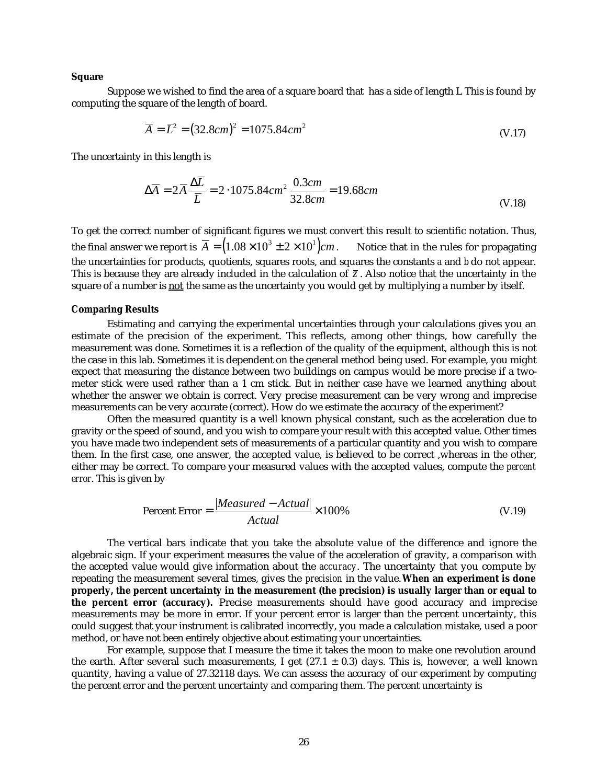#### **Square**

Suppose we wished to find the area of a square board that has a side of length L This is found by computing the square of the length of board.

$$
\overline{A} = \overline{L}^2 = (32.8cm)^2 = 1075.84cm^2
$$
 (V.17)

The uncertainty in this length is

$$
\Delta \overline{A} = 2\overline{A} \frac{\Delta \overline{L}}{\overline{L}} = 2 \cdot 1075.84 \, \text{cm}^2 \, \frac{0.3 \, \text{cm}}{32.8 \, \text{cm}} = 19.68 \, \text{cm}
$$
\n(V.18)

To get the correct number of significant figures we must convert this result to scientific notation. Thus, the final answer we report is  $\overline{A} = (1.08 \times 10^3 \pm 2 \times 10^1)$  *cm*. Notice that in the rules for propagating the uncertainties for products, quotients, squares roots, and squares the constants *a* and *b* do not appear. This is because they are already included in the calculation of  $\bar{z}$ . Also notice that the uncertainty in the square of a number is not the same as the uncertainty you would get by multiplying a number by itself.

#### **Comparing Results**

Estimating and carrying the experimental uncertainties through your calculations gives you an estimate of the precision of the experiment. This reflects, among other things, how carefully the measurement was done. Sometimes it is a reflection of the quality of the equipment, although this is not the case in this lab. Sometimes it is dependent on the general method being used. For example, you might expect that measuring the distance between two buildings on campus would be more precise if a twometer stick were used rather than a 1 cm stick. But in neither case have we learned anything about whether the answer we obtain is correct. Very precise measurement can be very wrong and imprecise measurements can be very accurate (correct). How do we estimate the accuracy of the experiment?

Often the measured quantity is a well known physical constant, such as the acceleration due to gravity or the speed of sound, and you wish to compare your result with this accepted value. Other times you have made two independent sets of measurements of a particular quantity and you wish to compare them. In the first case, one answer, the accepted value, is believed to be correct ,whereas in the other, either may be correct. To compare your measured values with the accepted values, compute the *percent error*. This is given by

$$
Percent Error = \frac{|Measured - Actual|}{Actual} \times 100\%
$$
 (V.19)

The vertical bars indicate that you take the absolute value of the difference and ignore the algebraic sign. If your experiment measures the value of the acceleration of gravity, a comparison with the accepted value would give information about the *accuracy*. The uncertainty that you compute by repeating the measurement several times, gives the *precision* in the value. **When an experiment is done properly, the percent uncertainty in the measurement (the precision) is usually larger than or equal to the percent error (accuracy).** Precise measurements should have good accuracy and imprecise measurements may be more in error. If your percent error is larger than the percent uncertainty, this could suggest that your instrument is calibrated incorrectly, you made a calculation mistake, used a poor method, or have not been entirely objective about estimating your uncertainties.

For example, suppose that I measure the time it takes the moon to make one revolution around the earth. After several such measurements, I get  $(27.1 \pm 0.3)$  days. This is, however, a well known quantity, having a value of 27.32118 days. We can assess the accuracy of our experiment by computing the percent error and the percent uncertainty and comparing them. The percent uncertainty is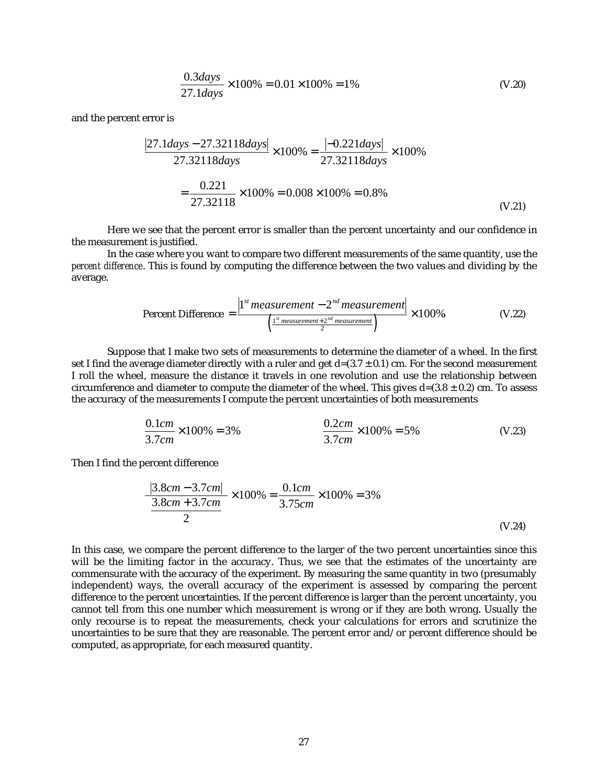$$
\frac{0.3 \, days}{27.1 \, days} \times 100\% = 0.01 \times 100\% = 1\%
$$
\n(V.20)

and the percent error is

$$
\frac{|27.1 \text{days} - 27.32118 \text{days}|}{27.32118 \text{days}} \times 100\% = \frac{|-0.221 \text{days}|}{27.32118 \text{days}} \times 100\%
$$

$$
= \frac{0.221}{27.32118} \times 100\% = 0.008 \times 100\% = 0.8\%
$$
(V.21)

Here we see that the percent error is smaller than the percent uncertainty and our confidence in the measurement is justified.

In the case where you want to compare two different measurements of the same quantity, use the *percent difference*. This is found by computing the difference between the two values and dividing by the average.

$$
\text{Percent Difference} = \frac{\left|1^{st} \text{measurement} - 2^{nd} \text{measurement}\right|}{\left(\frac{1^{st} \text{ measurement} + 2^{nd} \text{ measurement}}{2}\right)} \times 100\% \tag{V.22}
$$

Suppose that I make two sets of measurements to determine the diameter of a wheel. In the first set I find the average diameter directly with a ruler and get  $d=(3.7 \pm 0.1)$  cm. For the second measurement I roll the wheel, measure the distance it travels in one revolution and use the relationship between circumference and diameter to compute the diameter of the wheel. This gives  $d=(3.8 \pm 0.2)$  cm. To assess the accuracy of the measurements I compute the percent uncertainties of both measurements

$$
\frac{0.1cm}{3.7cm} \times 100\% = 3\%
$$
\n
$$
\frac{0.2cm}{3.7cm} \times 100\% = 5\%
$$
\n(V.23)

Then I find the percent difference

$$
\frac{|3.8cm - 3.7cm|}{\left(\frac{3.8cm + 3.7cm}{2}\right)} \times 100\% = \frac{0.1cm}{3.75cm} \times 100\% = 3\%
$$
\n(V.24)

In this case, we compare the percent difference to the larger of the two percent uncertainties since this will be the limiting factor in the accuracy. Thus, we see that the estimates of the uncertainty are commensurate with the accuracy of the experiment. By measuring the same quantity in two (presumably independent) ways, the overall accuracy of the experiment is assessed by comparing the percent difference to the percent uncertainties. If the percent difference is larger than the percent uncertainty, you cannot tell from this one number which measurement is wrong or if they are both wrong. Usually the only recourse is to repeat the measurements, check your calculations for errors and scrutinize the uncertainties to be sure that they are reasonable. The percent error and/or percent difference should be computed, as appropriate, for each measured quantity.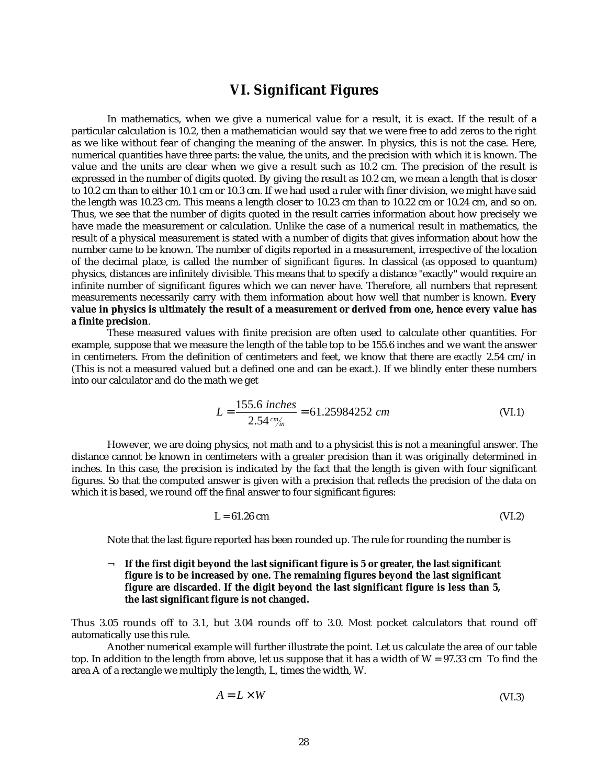## **VI. Significant Figures**

In mathematics, when we give a numerical value for a result, it is exact. If the result of a particular calculation is 10.2, then a mathematician would say that we were free to add zeros to the right as we like without fear of changing the meaning of the answer. In physics, this is not the case. Here, numerical quantities have three parts: the value, the units, and the precision with which it is known. The value and the units are clear when we give a result such as 10.2 cm. The precision of the result is expressed in the number of digits quoted. By giving the result as 10.2 cm, we mean a length that is closer to 10.2 cm than to either 10.1 cm or 10.3 cm. If we had used a ruler with finer division, we might have said the length was 10.23 cm. This means a length closer to 10.23 cm than to 10.22 cm or 10.24 cm, and so on. Thus, we see that the number of digits quoted in the result carries information about how precisely we have made the measurement or calculation. Unlike the case of a numerical result in mathematics, the result of a physical measurement is stated with a number of digits that gives information about how the number came to be known. The number of digits reported in a measurement, irrespective of the location of the decimal place, is called the number of s*ignificant figures*. In classical (as opposed to quantum) physics, distances are infinitely divisible. This means that to specify a distance "exactly" would require an infinite number of significant figures which we can never have. Therefore, all numbers that represent measurements necessarily carry with them information about how well that number is known. **Every value in physics is ultimately the result of a measurement or derived from one, hence every value has a finite precision**.

These measured values with finite precision are often used to calculate other quantities. For example, suppose that we measure the length of the table top to be 155.6 inches and we want the answer in centimeters. From the definition of centimeters and feet, we know that there are *exactly* 2.54 cm/in (This is not a measured valued but a defined one and can be exact.). If we blindly enter these numbers into our calculator and do the math we get

$$
L = \frac{155.6 \text{ inches}}{2.54 \text{ cm/m}} = 61.25984252 \text{ cm}
$$
 (VI.1)

However, we are doing physics, not math and to a physicist this is not a meaningful answer. The distance cannot be known in centimeters with a greater precision than it was originally determined in inches. In this case, the precision is indicated by the fact that the length is given with four significant figures. So that the computed answer is given with a precision that reflects the precision of the data on which it is based, we round off the final answer to four significant figures:

$$
L = 61.26 \text{ cm} \tag{V1.2}
$$

Note that the last figure reported has been rounded up. The rule for rounding the number is

### ¬ **If the first digit beyond the last significant figure is 5 or greater, the last significant figure is to be increased by one. The remaining figures beyond the last significant figure are discarded. If the digit beyond the last significant figure is less than 5, the last significant figure is not changed.**

Thus 3.05 rounds off to 3.1, but 3.04 rounds off to 3.0. Most pocket calculators that round off automatically use this rule.

Another numerical example will further illustrate the point. Let us calculate the area of our table top. In addition to the length from above, let us suppose that it has a width of  $W = 97.33$  cm To find the area A of a rectangle we multiply the length, L, times the width, W.

$$
A = L \times W \tag{VI.3}
$$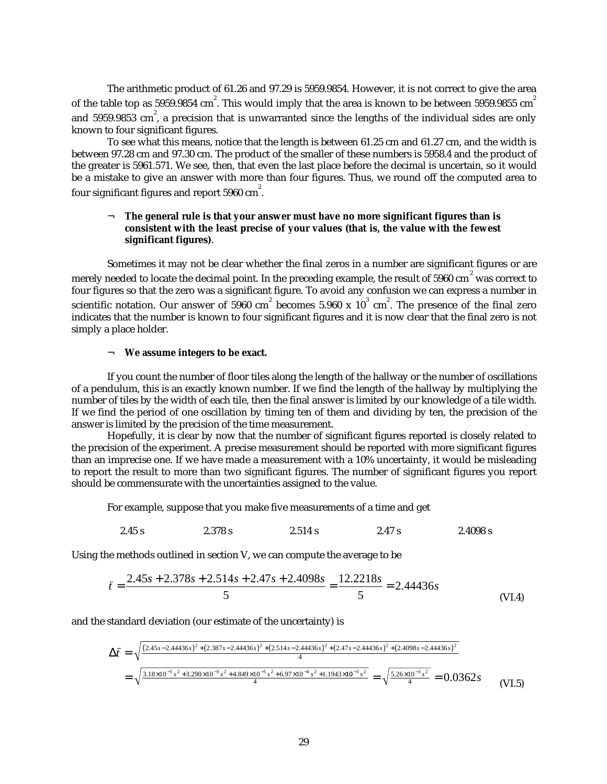The arithmetic product of 61.26 and 97.29 is 5959.9854. However, it is not correct to give the area of the table top as 5959.9854  $\rm cm^2$ . This would imply that the area is known to be between 5959.9855  $\rm cm^2$ and 5959.9853  $\mathrm{cm}^{^{2}}$ , a precision that is unwarranted since the lengths of the individual sides are only known to four significant figures.

To see what this means, notice that the length is between 61.25 cm and 61.27 cm, and the width is between 97.28 cm and 97.30 cm. The product of the smaller of these numbers is 5958.4 and the product of the greater is 5961.571. We see, then, that even the last place before the decimal is uncertain, so it would be a mistake to give an answer with more than four figures. Thus, we round off the computed area to four significant figures and report 5960  $\rm cm^2$ .

## ¬ **The general rule is that your answer must have no more significant figures than is consistent with the least precise of your values (that is, the value with the fewest significant figures)**.

Sometimes it may not be clear whether the final zeros in a number are significant figures or are merely needed to locate the decimal point. In the preceding example, the result of 5960 cm $^{2}$  was correct to four figures so that the zero was a significant figure. To avoid any confusion we can express a number in scientific notation. Our answer of 5960  $\rm cm^2$  becomes 5.960 x  $\rm 10^3 \ cm^2$ . The presence of the final zero indicates that the number is known to four significant figures and it is now clear that the final zero is not simply a place holder.

#### ¬ **We assume integers to be exact.**

If you count the number of floor tiles along the length of the hallway or the number of oscillations of a pendulum, this is an exactly known number. If we find the length of the hallway by multiplying the number of tiles by the width of each tile, then the final answer is limited by our knowledge of a tile width. If we find the period of one oscillation by timing ten of them and dividing by ten, the precision of the answer is limited by the precision of the time measurement.

Hopefully, it is clear by now that the number of significant figures reported is closely related to the precision of the experiment. A precise measurement should be reported with more significant figures than an imprecise one. If we have made a measurement with a 10% uncertainty, it would be misleading to report the result to more than two significant figures. The number of significant figures you report should be commensurate with the uncertainties assigned to the value.

For example, suppose that you make five measurements of a time and get

$$
2.45 s \t\t\t 2.378 s \t\t\t 2.514 s \t\t\t 2.47 s \t\t\t 2.4098 s
$$

Using the methods outlined in section V, we can compute the average to be

$$
\bar{t} = \frac{2.45s + 2.378s + 2.514s + 2.47s + 2.4098s}{5} = \frac{12.2218s}{5} = 2.44436s
$$
\n(VI.4)

and the standard deviation (our estimate of the uncertainty) is

$$
\Delta \bar{t} = \sqrt{\frac{(2.45s - 2.44436s)^2 + (2.387s - 2.44436s)^2 + (2.514s - 2.44436s)^2 + (2.47s - 2.44436s)^2 + (2.4098s - 2.44436s)^2}{4}}
$$
\n
$$
= \sqrt{\frac{3.18 \times 10^{-5} s^2 + 3.290 \times 10^{-3} s^2 + 4.849 \times 10^{-5} s^2 + 6.97 \times 10^{-4} s^2 + 1.1943 \times 10^{-3} s^2}{4}} = \sqrt{\frac{5.26 \times 10^{-3} s^2}{4}} = 0.0362s
$$
\n(VI.5)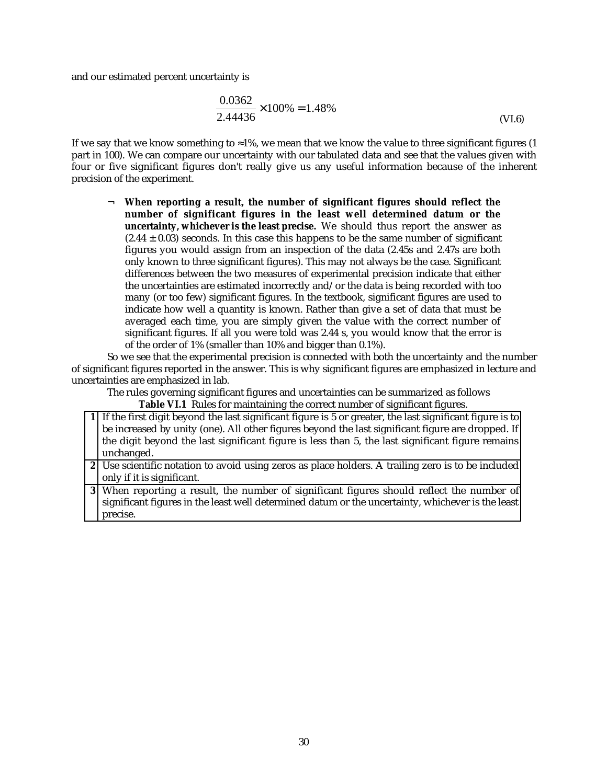and our estimated percent uncertainty is

$$
\frac{0.0362}{2.44436} \times 100\% = 1.48\%
$$
 (VI.6)

If we say that we know something to  $\approx$ 1%, we mean that we know the value to three significant figures (1) part in 100). We can compare our uncertainty with our tabulated data and see that the values given with four or five significant figures don't really give us any useful information because of the inherent precision of the experiment.

¬ **When reporting a result, the number of significant figures should reflect the number of significant figures in the least well determined datum or the uncertainty, whichever is the least precise.** We should thus report the answer as  $(2.44 \pm 0.03)$  seconds. In this case this happens to be the same number of significant figures you would assign from an inspection of the data (2.45s and 2.47s are both only known to three significant figures). This may not always be the case. Significant differences between the two measures of experimental precision indicate that either the uncertainties are estimated incorrectly and/or the data is being recorded with too many (or too few) significant figures. In the textbook, significant figures are used to indicate how well a quantity is known. Rather than give a set of data that must be averaged each time, you are simply given the value with the correct number of significant figures. If all you were told was 2.44 s, you would know that the error is of the order of 1% (smaller than 10% and bigger than 0.1%).

So we see that the experimental precision is connected with both the uncertainty and the number of significant figures reported in the answer. This is why significant figures are emphasized in lecture and uncertainties are emphasized in lab.

The rules governing significant figures and uncertainties can be summarized as follows **Table VI.1** Rules for maintaining the correct number of significant figures.

| 1 If the first digit beyond the last significant figure is 5 or greater, the last significant figure is to |
|------------------------------------------------------------------------------------------------------------|
| be increased by unity (one). All other figures beyond the last significant figure are dropped. If          |
| the digit beyond the last significant figure is less than 5, the last significant figure remains           |
| unchanged.                                                                                                 |
| 2 Use scientific notation to avoid using zeros as place holders. A trailing zero is to be included         |
| only if it is significant.                                                                                 |
| 3 When reporting a result, the number of significant figures should reflect the number of                  |
| significant figures in the least well determined datum or the uncertainty, whichever is the least          |
| precise.                                                                                                   |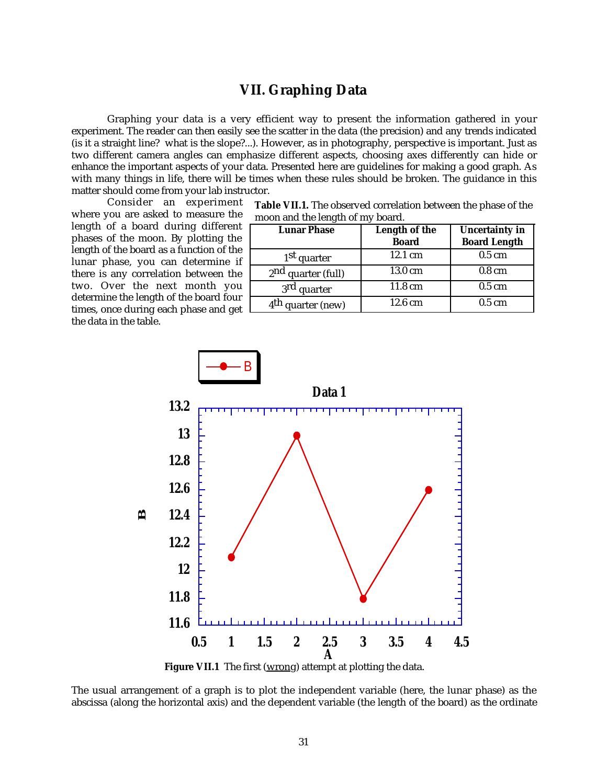# **VII. Graphing Data**

Graphing your data is a very efficient way to present the information gathered in your experiment. The reader can then easily see the scatter in the data (the precision) and any trends indicated (is it a straight line? what is the slope?...). However, as in photography, perspective is important. Just as two different camera angles can emphasize different aspects, choosing axes differently can hide or enhance the important aspects of your data. Presented here are guidelines for making a good graph. As with many things in life, there will be times when these rules should be broken. The guidance in this matter should come from your lab instructor.

Consider an experiment where you are asked to measure the length of a board during different phases of the moon. By plotting the length of the board as a function of the lunar phase, you can determine if there is any correlation between the two. Over the next month you determine the length of the board four times, once during each phase and get the data in the table.

| <b>Table VII.1.</b> The observed correlation between the phase of the |
|-----------------------------------------------------------------------|
| moon and the length of my board.                                      |

| <b>Lunar Phase</b>            | Length of the<br><b>Board</b> | <b>Uncertainty in</b><br><b>Board Length</b> |
|-------------------------------|-------------------------------|----------------------------------------------|
| 1 <sup>st</sup> quarter       | 12.1 cm                       | $0.5 \text{ cm}$                             |
| $2nd$ quarter (full)          | 13.0 cm                       | $0.8 \text{ cm}$                             |
| 3 <sup>rd</sup> quarter       | 11.8 cm                       | $0.5 \text{ cm}$                             |
| 4 <sup>th</sup> quarter (new) | 12.6 cm                       | $0.5 \text{ cm}$                             |



Figure VII.1 The first (wrong) attempt at plotting the data.

The usual arrangement of a graph is to plot the independent variable (here, the lunar phase) as the abscissa (along the horizontal axis) and the dependent variable (the length of the board) as the ordinate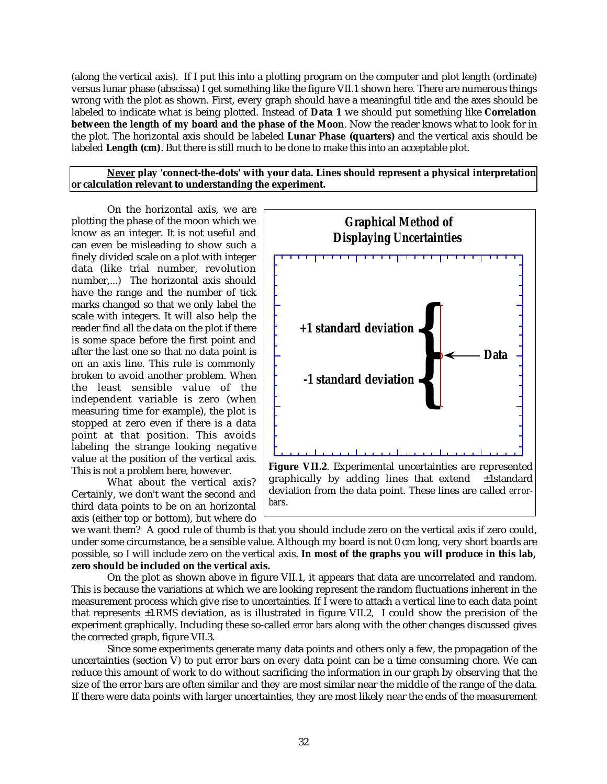(along the vertical axis). If I put this into a plotting program on the computer and plot length (ordinate) versus lunar phase (abscissa) I get something like the figure VII.1 shown here. There are numerous things wrong with the plot as shown. First, every graph should have a meaningful title and the axes should be labeled to indicate what is being plotted. Instead of **Data 1** we should put something like **Correlation between the length of my board and the phase of the Moon**. Now the reader knows what to look for in the plot. The horizontal axis should be labeled **Lunar Phase (quarters)** and the vertical axis should be labeled **Length (cm)**. But there is still much to be done to make this into an acceptable plot.

 **Never play 'connect-the-dots' with your data. Lines should represent a physical interpretation or calculation relevant to understanding the experiment.**

On the horizontal axis, we are plotting the phase of the moon which we know as an integer. It is not useful and can even be misleading to show such a finely divided scale on a plot with integer data (like trial number, revolution number,...) The horizontal axis should have the range and the number of tick marks changed so that we only label the scale with integers. It will also help the reader find all the data on the plot if there is some space before the first point and after the last one so that no data point is on an axis line. This rule is commonly broken to avoid another problem. When the least sensible value of the independent variable is zero (when measuring time for example), the plot is stopped at zero even if there is a data point at that position. This avoids labeling the strange looking negative value at the position of the vertical axis. This is not a problem here, however.

What about the vertical axis? Certainly, we don't want the second and third data points to be on an horizontal axis (either top or bottom), but where do



we want them? A good rule of thumb is that you should include zero on the vertical axis if zero could, under some circumstance, be a sensible value. Although my board is not 0 cm long, very short boards are possible, so I will include zero on the vertical axis. **In most of the graphs you will produce in this lab, zero should be included on the vertical axis.**

On the plot as shown above in figure VII.1, it appears that data are uncorrelated and random. This is because the variations at which we are looking represent the random fluctuations inherent in the measurement process which give rise to uncertainties. If I were to attach a vertical line to each data point that represents ±1 RMS deviation, as is illustrated in figure VII.2, I could show the precision of the experiment graphically. Including these so-called *error bars* along with the other changes discussed gives the corrected graph, figure VII.3.

Since some experiments generate many data points and others only a few, the propagation of the uncertainties (section V) to put error bars on *every* data point can be a time consuming chore. We can reduce this amount of work to do without sacrificing the information in our graph by observing that the size of the error bars are often similar and they are most similar near the middle of the range of the data. If there were data points with larger uncertainties, they are most likely near the ends of the measurement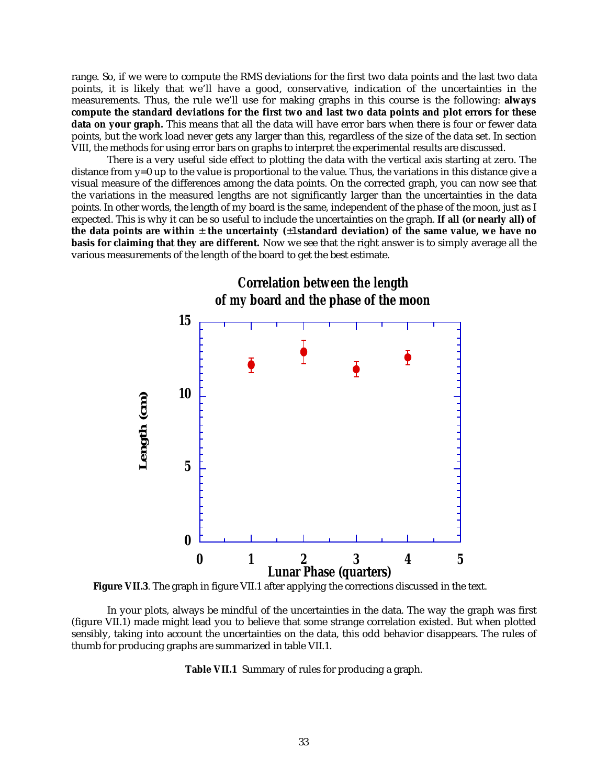range. So, if we were to compute the RMS deviations for the first two data points and the last two data points, it is likely that we'll have a good, conservative, indication of the uncertainties in the measurements. Thus, the rule we'll use for making graphs in this course is the following: **always compute the standard deviations for the first two and last two data points and plot errors for these data on your graph.** This means that all the data will have error bars when there is four or fewer data points, but the work load never gets any larger than this, regardless of the size of the data set. In section VIII, the methods for using error bars on graphs to interpret the experimental results are discussed.

There is a very useful side effect to plotting the data with the vertical axis starting at zero. The distance from  $y=0$  up to the value is proportional to the value. Thus, the variations in this distance give a visual measure of the differences among the data points. On the corrected graph, you can now see that the variations in the measured lengths are not significantly larger than the uncertainties in the data points. In other words, the length of my board is the same, independent of the phase of the moon, just as I expected. This is why it can be so useful to include the uncertainties on the graph. **If all (or nearly all) of the data points are within** ± **the uncertainty (**±1 **standard deviation) of the same value, we have no basis for claiming that they are different.** Now we see that the right answer is to simply average all the various measurements of the length of the board to get the best estimate.



**Figure VII.3**. The graph in figure VII.1 after applying the corrections discussed in the text.

In your plots, always be mindful of the uncertainties in the data. The way the graph was first (figure VII.1) made might lead you to believe that some strange correlation existed. But when plotted sensibly, taking into account the uncertainties on the data, this odd behavior disappears. The rules of thumb for producing graphs are summarized in table VII.1.

**Table VII.1** Summary of rules for producing a graph.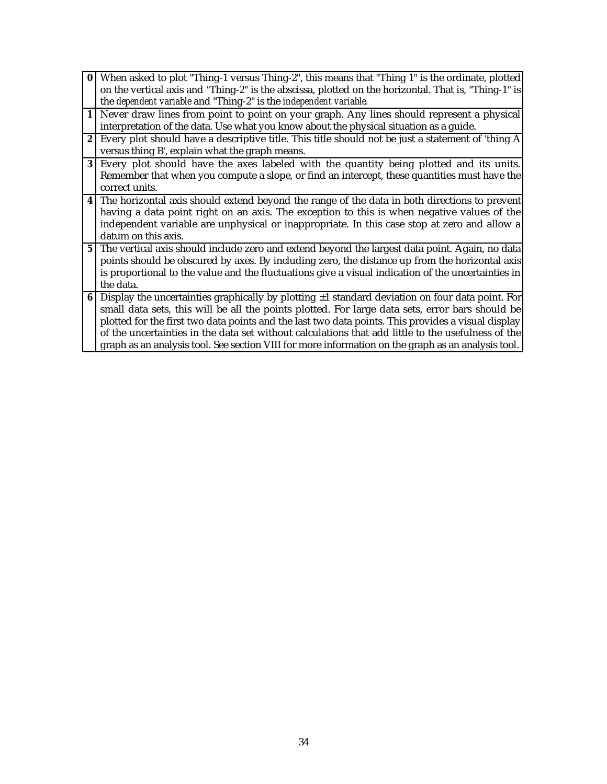| $\bf{0}$       | When asked to plot "Thing-1 versus Thing-2", this means that "Thing 1" is the ordinate, plotted      |
|----------------|------------------------------------------------------------------------------------------------------|
|                | on the vertical axis and "Thing-2" is the abscissa, plotted on the horizontal. That is, "Thing-1" is |
|                | the dependent variable and "Thing-2" is the independent variable                                     |
|                | 1 Never draw lines from point to point on your graph. Any lines should represent a physical          |
|                | interpretation of the data. Use what you know about the physical situation as a guide.               |
| 2              | Every plot should have a descriptive title. This title should not be just a statement of 'thing A    |
|                | versus thing B', explain what the graph means.                                                       |
| 3              | Every plot should have the axes labeled with the quantity being plotted and its units.               |
|                | Remember that when you compute a slope, or find an intercept, these quantities must have the         |
|                | correct units.                                                                                       |
|                | 4 The horizontal axis should extend beyond the range of the data in both directions to prevent       |
|                | having a data point right on an axis. The exception to this is when negative values of the           |
|                | independent variable are unphysical or inappropriate. In this case stop at zero and allow a          |
|                | datum on this axis.                                                                                  |
| 5 <sup>1</sup> | The vertical axis should include zero and extend beyond the largest data point. Again, no data       |
|                | points should be obscured by axes. By including zero, the distance up from the horizontal axis       |
|                | is proportional to the value and the fluctuations give a visual indication of the uncertainties in   |
|                | the data.                                                                                            |
| 6              | Display the uncertainties graphically by plotting ±1 standard deviation on four data point. For      |
|                | small data sets, this will be all the points plotted. For large data sets, error bars should be      |
|                | plotted for the first two data points and the last two data points. This provides a visual display   |
|                | of the uncertainties in the data set without calculations that add little to the usefulness of the   |
|                | graph as an analysis tool. See section VIII for more information on the graph as an analysis tool.   |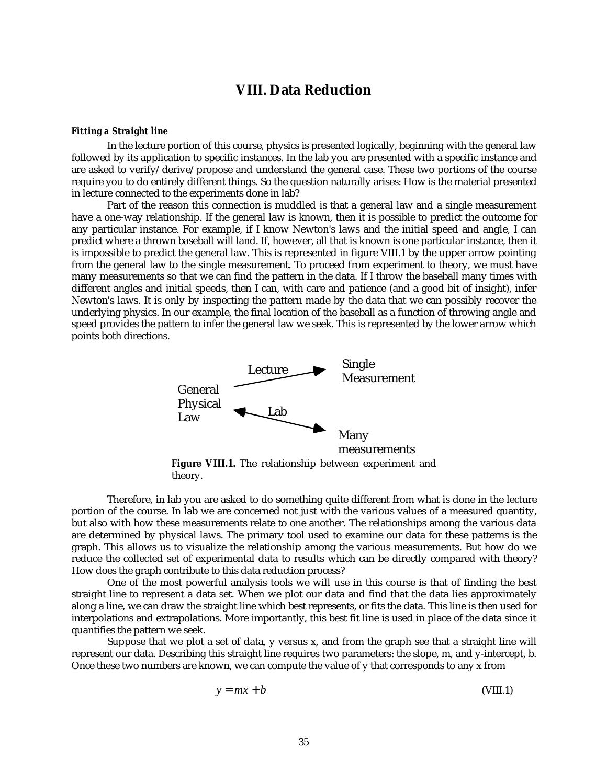## **VIII. Data Reduction**

#### *Fitting a Straight line*

In the lecture portion of this course, physics is presented logically, beginning with the general law followed by its application to specific instances. In the lab you are presented with a specific instance and are asked to verify/derive/propose and understand the general case. These two portions of the course require you to do entirely different things. So the question naturally arises: How is the material presented in lecture connected to the experiments done in lab?

Part of the reason this connection is muddled is that a general law and a single measurement have a one-way relationship. If the general law is known, then it is possible to predict the outcome for any particular instance. For example, if I know Newton's laws and the initial speed and angle, I can predict where a thrown baseball will land. If, however, all that is known is one particular instance, then it is impossible to predict the general law. This is represented in figure VIII.1 by the upper arrow pointing from the general law to the single measurement. To proceed from experiment to theory, we must have many measurements so that we can find the pattern in the data. If I throw the baseball many times with different angles and initial speeds, then I can, with care and patience (and a good bit of insight), infer Newton's laws. It is only by inspecting the pattern made by the data that we can possibly recover the underlying physics. In our example, the final location of the baseball as a function of throwing angle and speed provides the pattern to infer the general law we seek. This is represented by the lower arrow which points both directions.



theory.

Therefore, in lab you are asked to do something quite different from what is done in the lecture portion of the course. In lab we are concerned not just with the various values of a measured quantity, but also with how these measurements relate to one another. The relationships among the various data are determined by physical laws. The primary tool used to examine our data for these patterns is the graph. This allows us to visualize the relationship among the various measurements. But how do we reduce the collected set of experimental data to results which can be directly compared with theory? How does the graph contribute to this data reduction process?

One of the most powerful analysis tools we will use in this course is that of finding the best straight line to represent a data set. When we plot our data and find that the data lies approximately along a line, we can draw the straight line which best represents, or fits the data. This line is then used for interpolations and extrapolations. More importantly, this best fit line is used in place of the data since it quantifies the pattern we seek.

Suppose that we plot a set of data, y versus x, and from the graph see that a straight line will represent our data. Describing this straight line requires two parameters: the slope, m, and y-intercept, b. Once these two numbers are known, we can compute the value of y that corresponds to any x from

$$
y = mx + b \tag{VIII.1}
$$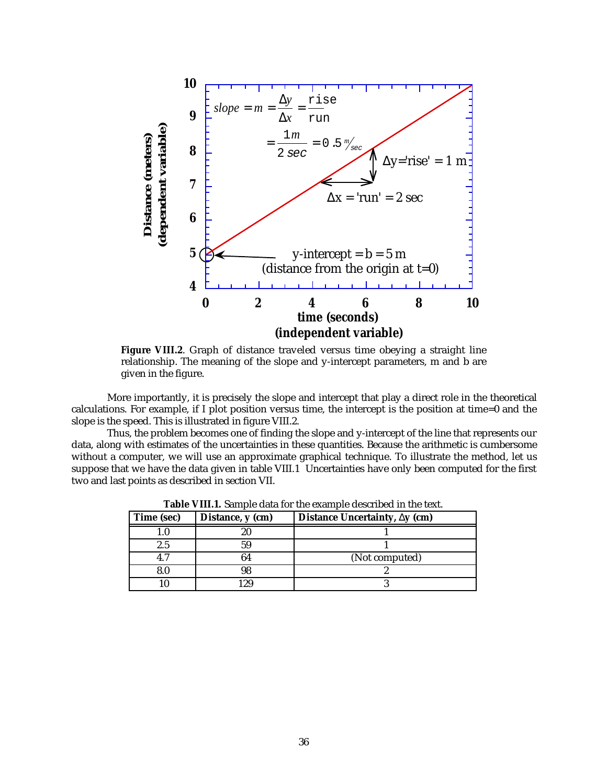

**Figure VIII.2**. Graph of distance traveled versus time obeying a straight line relationship. The meaning of the slope and y-intercept parameters, m and b are given in the figure.

More importantly, it is precisely the slope and intercept that play a direct role in the theoretical calculations. For example, if I plot position versus time, the intercept is the position at time=0 and the slope is the speed. This is illustrated in figure VIII.2.

Thus, the problem becomes one of finding the slope and y-intercept of the line that represents our data, along with estimates of the uncertainties in these quantities. Because the arithmetic is cumbersome without a computer, we will use an approximate graphical technique. To illustrate the method, let us suppose that we have the data given in table VIII.1 Uncertainties have only been computed for the first two and last points as described in section VII.

| Time (sec) | Distance, y (cm) | Distance Uncertainty, $\Delta y$ (cm) |
|------------|------------------|---------------------------------------|
|            |                  |                                       |
| $2.5\,$    |                  |                                       |
|            |                  | (Not computed)                        |
|            |                  |                                       |
|            |                  |                                       |

**Table VIII.1.** Sample data for the example described in the text.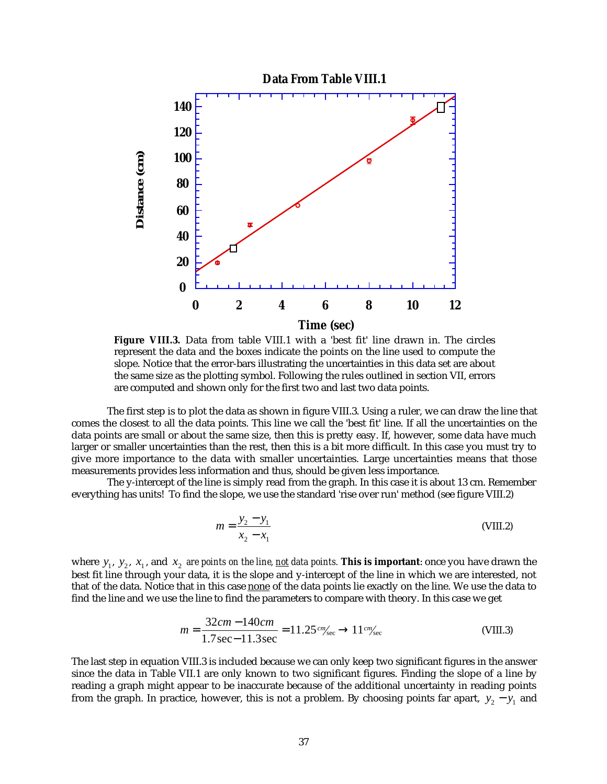

**Figure VIII.3.** Data from table VIII.1 with a 'best fit' line drawn in. The circles represent the data and the boxes indicate the points on the line used to compute the slope. Notice that the error-bars illustrating the uncertainties in this data set are about the same size as the plotting symbol. Following the rules outlined in section VII, errors are computed and shown only for the first two and last two data points.

The first step is to plot the data as shown in figure VIII.3. Using a ruler, we can draw the line that comes the closest to all the data points. This line we call the 'best fit' line. If all the uncertainties on the data points are small or about the same size, then this is pretty easy. If, however, some data have much larger or smaller uncertainties than the rest, then this is a bit more difficult. In this case you must try to give more importance to the data with smaller uncertainties. Large uncertainties means that those measurements provides less information and thus, should be given less importance.

The y-intercept of the line is simply read from the graph. In this case it is about 13 cm. Remember everything has units! To find the slope, we use the standard 'rise over run' method (see figure VIII.2)

$$
m = \frac{y_2 - y_1}{x_2 - x_1}
$$
 (VIII.2)

where  $y_1$ ,  $y_2$ ,  $x_1$ , and  $x_2$  *are points on the line, <u>not</u> data points.* **This is important**: once you have drawn the best fit line through your data, it is the slope and y-intercept of the line in which we are interested, not that of the data. Notice that in this case none of the data points lie exactly on the line. We use the data to find the line and we use the line to find the parameters to compare with theory. In this case we get

$$
m = \frac{32cm - 140cm}{1.7 \text{ sec} - 11.3 \text{ sec}} = 11.25 \, \text{cm/sec} \rightarrow 11 \, \text{cm/sec}
$$
 (VIII.3)

The last step in equation VIII.3 is included because we can only keep two significant figures in the answer since the data in Table VII.1 are only known to two significant figures. Finding the slope of a line by reading a graph might appear to be inaccurate because of the additional uncertainty in reading points from the graph. In practice, however, this is not a problem. By choosing points far apart,  $y_2 - y_1$  and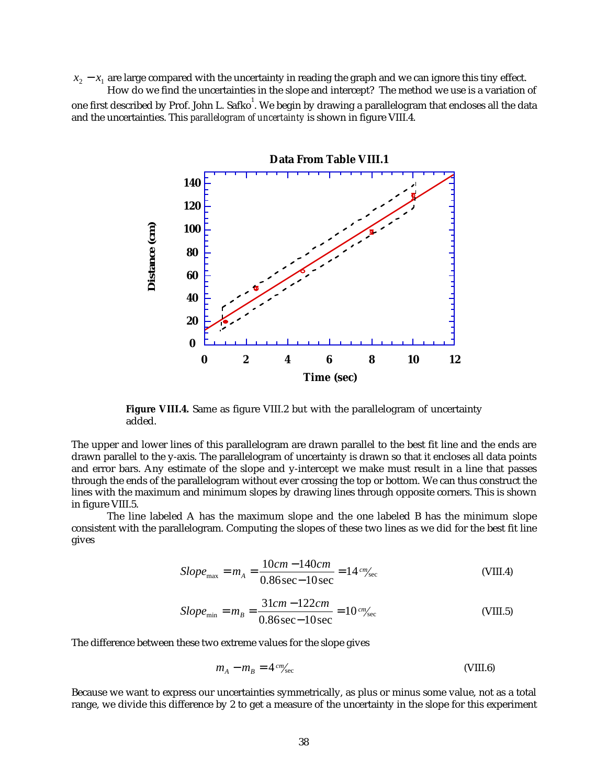$x_2 - x_1$  are large compared with the uncertainty in reading the graph and we can ignore this tiny effect.

How do we find the uncertainties in the slope and intercept? The method we use is a variation of one first described by Prof. John L. Safko $^{\rm l}$ . We begin by drawing a parallelogram that encloses all the data and the uncertainties. This *parallelogram of uncertainty* is shown in figure VIII.4.



**Figure VIII.4.** Same as figure VIII.2 but with the parallelogram of uncertainty added.

The upper and lower lines of this parallelogram are drawn parallel to the best fit line and the ends are drawn parallel to the y-axis. The parallelogram of uncertainty is drawn so that it encloses all data points and error bars. Any estimate of the slope and y-intercept we make must result in a line that passes through the ends of the parallelogram without ever crossing the top or bottom. We can thus construct the lines with the maximum and minimum slopes by drawing lines through opposite corners. This is shown in figure VIII.5.

The line labeled A has the maximum slope and the one labeled B has the minimum slope consistent with the parallelogram. Computing the slopes of these two lines as we did for the best fit line gives

$$
Slope_{\text{max}} = m_A = \frac{10cm - 140cm}{0.86 \text{ sec} - 10 \text{ sec}} = 14 \, \text{cm/sec}
$$
 (VIII.4)

$$
Slope_{\min} = m_B = \frac{31cm - 122cm}{0.86\,\text{sec} - 10\,\text{sec}} = 10\,\text{cm/sec}
$$
 (VIII.5)

The difference between these two extreme values for the slope gives

$$
m_A - m_B = 4 \, \text{cm/sec} \tag{VIII.6}
$$

Because we want to express our uncertainties symmetrically, as plus or minus some value, not as a total range, we divide this difference by 2 to get a measure of the uncertainty in the slope for this experiment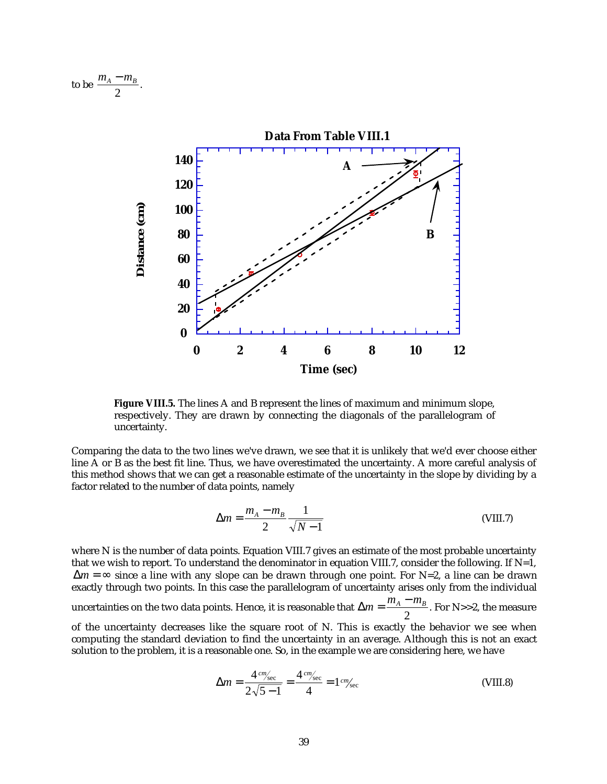to be 
$$
\frac{m_A - m_B}{2}.
$$



**Figure VIII.5.** The lines A and B represent the lines of maximum and minimum slope, respectively. They are drawn by connecting the diagonals of the parallelogram of uncertainty.

Comparing the data to the two lines we've drawn, we see that it is unlikely that we'd ever choose either line A or B as the best fit line. Thus, we have overestimated the uncertainty. A more careful analysis of this method shows that we can get a reasonable estimate of the uncertainty in the slope by dividing by a factor related to the number of data points, namely

$$
\Delta m = \frac{m_A - m_B}{2} \frac{1}{\sqrt{N - 1}}
$$
 (VIII.7)

where N is the number of data points. Equation VIII.7 gives an estimate of the most probable uncertainty that we wish to report. To understand the denominator in equation VIII.7, consider the following. If  $N=1$ , ∆*m* = ∞ since a line with any slope can be drawn through one point. For N=2, a line can be drawn exactly through two points. In this case the parallelogram of uncertainty arises only from the individual uncertainties on the two data points. Hence, it is reasonable that  $\Delta m = \frac{m_A - m_B}{2}$  $\frac{p}{2}$ . For N>>2, the measure of the uncertainty decreases like the square root of N. This is exactly the behavior we see when computing the standard deviation to find the uncertainty in an average. Although this is not an exact solution to the problem, it is a reasonable one. So, in the example we are considering here, we have

$$
\Delta m = \frac{4 \, \text{cm/sec}}{2\sqrt{5-1}} = \frac{4 \, \text{cm/sec}}{4} = 1 \, \text{cm/sec}
$$
\n(VIII.8)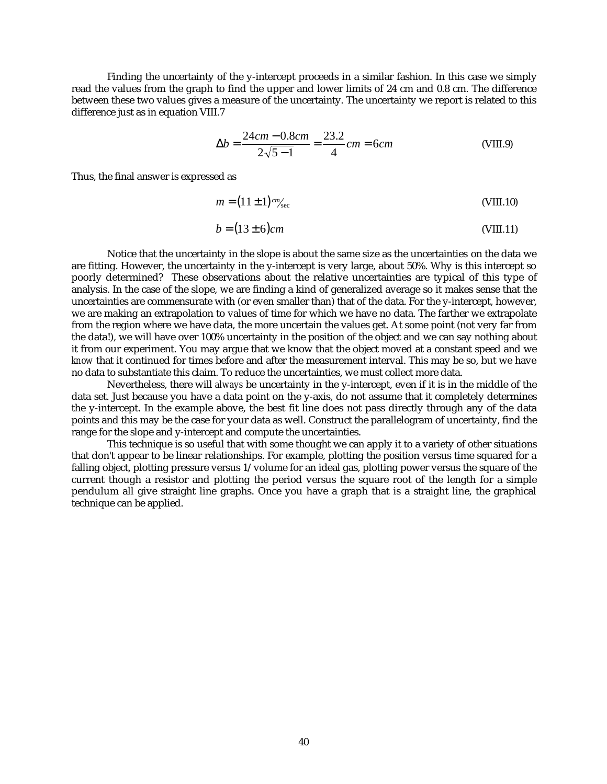Finding the uncertainty of the y-intercept proceeds in a similar fashion. In this case we simply read the values from the graph to find the upper and lower limits of 24 cm and 0.8 cm. The difference between these two values gives a measure of the uncertainty. The uncertainty we report is related to this difference just as in equation VIII.7

$$
\Delta b = \frac{24cm - 0.8cm}{2\sqrt{5 - 1}} = \frac{23.2}{4} \, cm = 6 \, cm \tag{VIII.9}
$$

Thus, the final answer is expressed as

$$
m = (11 \pm 1)^{cm/sec}
$$
 (VIII.10)

$$
b = (13 \pm 6)cm
$$
 (VIII.11)

Notice that the uncertainty in the slope is about the same size as the uncertainties on the data we are fitting. However, the uncertainty in the y-intercept is very large, about 50%. Why is this intercept so poorly determined? These observations about the relative uncertainties are typical of this type of analysis. In the case of the slope, we are finding a kind of generalized average so it makes sense that the uncertainties are commensurate with (or even smaller than) that of the data. For the y-intercept, however, we are making an extrapolation to values of time for which we have no data. The farther we extrapolate from the region where we have data, the more uncertain the values get. At some point (not very far from the data!), we will have over 100% uncertainty in the position of the object and we can say nothing about it from our experiment. You may argue that we know that the object moved at a constant speed and we *know* that it continued for times before and after the measurement interval. This may be so, but we have no data to substantiate this claim. To reduce the uncertainties, we must collect more data.

Nevertheless, there will *always* be uncertainty in the y-intercept, even if it is in the middle of the data set. Just because you have a data point on the y-axis, do not assume that it completely determines the y-intercept. In the example above, the best fit line does not pass directly through any of the data points and this may be the case for your data as well. Construct the parallelogram of uncertainty, find the range for the slope and y-intercept and compute the uncertainties.

This technique is so useful that with some thought we can apply it to a variety of other situations that don't appear to be linear relationships. For example, plotting the position versus time squared for a falling object, plotting pressure versus 1/volume for an ideal gas, plotting power versus the square of the current though a resistor and plotting the period versus the square root of the length for a simple pendulum all give straight line graphs. Once you have a graph that is a straight line, the graphical technique can be applied.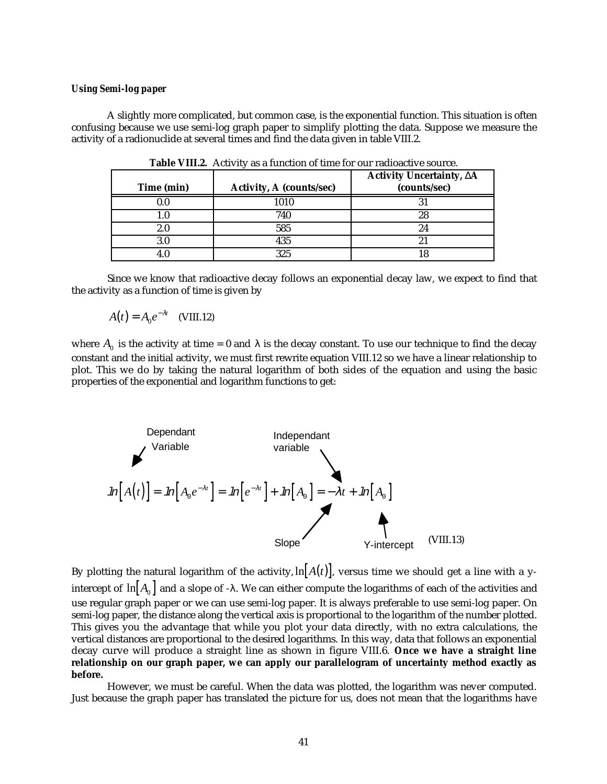#### *Using Semi-log paper*

A slightly more complicated, but common case, is the exponential function. This situation is often confusing because we use semi-log graph paper to simplify plotting the data. Suppose we measure the activity of a radionuclide at several times and find the data given in table VIII.2.

| Time (min) | <b>Activity, A (counts/sec)</b> | Activity Uncertainty, ∆A<br>(counts/sec) |
|------------|---------------------------------|------------------------------------------|
| 0.0        | 1010                            |                                          |
| . .0       | 740                             | 28                                       |
| 2.0        | 585                             |                                          |
| 3.0        | 435                             |                                          |
|            | 325                             |                                          |

**Table VIII.2.** Activity as a function of time for our radioactive source.

Since we know that radioactive decay follows an exponential decay law, we expect to find that the activity as a function of time is given by

$$
A(t) = A_0 e^{-\lambda t}
$$
 (VIII.12)

where  $A_0$  is the activity at time = 0 and  $\lambda$  is the decay constant. To use our technique to find the decay constant and the initial activity, we must first rewrite equation VIII.12 so we have a linear relationship to plot. This we do by taking the natural logarithm of both sides of the equation and using the basic properties of the exponential and logarithm functions to get:



By plotting the natural logarithm of the activity,  $\ln[A(t)]$ , versus time we should get a line with a yintercept of  $\ln [A_0]$  and a slope of - $\lambda$ . We can either compute the logarithms of each of the activities and use regular graph paper or we can use semi-log paper. It is always preferable to use semi-log paper. On semi-log paper, the distance along the vertical axis is proportional to the logarithm of the number plotted. This gives you the advantage that while you plot your data directly, with no extra calculations, the vertical distances are proportional to the desired logarithms. In this way, data that follows an exponential decay curve will produce a straight line as shown in figure VIII.6. **Once we have a straight line relationship on our graph paper, we can apply our parallelogram of uncertainty method exactly as before.**

However, we must be careful. When the data was plotted, the logarithm was never computed. Just because the graph paper has translated the picture for us, does not mean that the logarithms have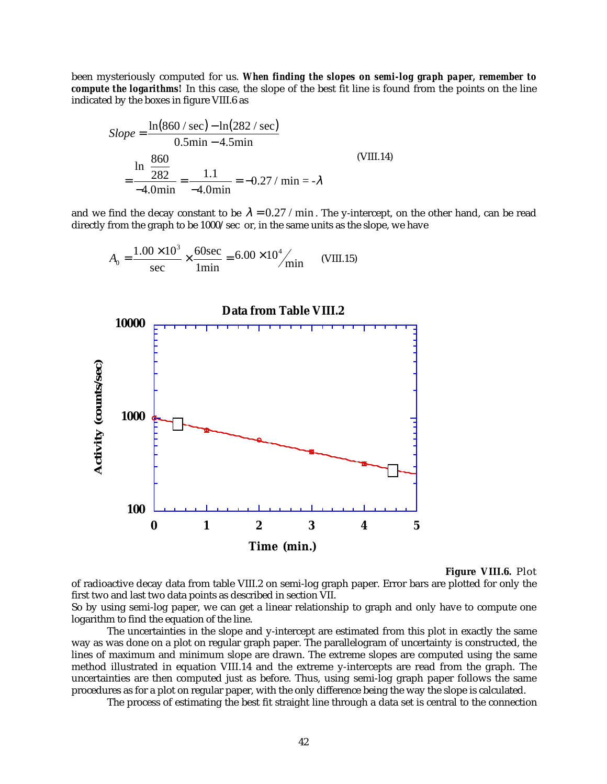been mysteriously computed for us. *When finding the slopes on semi-log graph paper, remember to compute the logarithms!* In this case, the slope of the best fit line is found from the points on the line indicated by the boxes in figure VIII.6 as

$$
Slope = \frac{\ln(860 / \text{sec}) - \ln(282 / \text{sec})}{0.5 \text{min} - 4.5 \text{min}}
$$
  
= 
$$
\frac{\ln(\frac{860}{282})}{-4.0 \text{min}} = \frac{1.1}{-4.0 \text{min}} = -0.27 / \text{min} = -\lambda
$$
 (VIII.14)

and we find the decay constant to be  $\lambda = 0.27 / \text{min}$ . The y-intercept, on the other hand, can be read directly from the graph to be 1000/sec or, in the same units as the slope, we have

$$
A_0 = \frac{1.00 \times 10^3}{\text{sec}} \times \frac{60 \text{sec}}{1 \text{min}} = 6.00 \times 10^4 / \text{min}
$$
 (VIII.15)



**Figure VIII.6.** Plot

of radioactive decay data from table VIII.2 on semi-log graph paper. Error bars are plotted for only the first two and last two data points as described in section VII.

So by using semi-log paper, we can get a linear relationship to graph and only have to compute one logarithm to find the equation of the line.

The uncertainties in the slope and y-intercept are estimated from this plot in exactly the same way as was done on a plot on regular graph paper. The parallelogram of uncertainty is constructed, the lines of maximum and minimum slope are drawn. The extreme slopes are computed using the same method illustrated in equation VIII.14 and the extreme y-intercepts are read from the graph. The uncertainties are then computed just as before. Thus, using semi-log graph paper follows the same procedures as for a plot on regular paper, with the only difference being the way the slope is calculated.

The process of estimating the best fit straight line through a data set is central to the connection